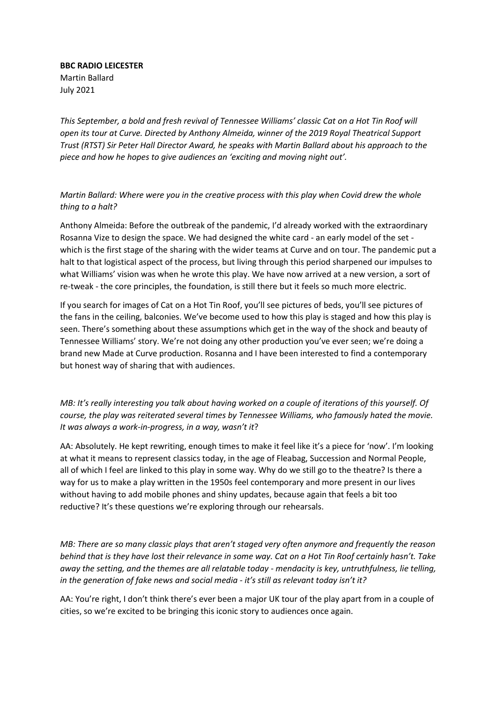**BBC RADIO LEICESTER** Martin Ballard July 2021

*This September, a bold and fresh revival of Tennessee Williams' classic Cat on a Hot Tin Roof will open its tour at Curve. Directed by Anthony Almeida, winner of the 2019 Royal Theatrical Support Trust (RTST) Sir Peter Hall Director Award, he speaks with Martin Ballard about his approach to the piece and how he hopes to give audiences an 'exciting and moving night out'.*

*Martin Ballard: Where were you in the creative process with this play when Covid drew the whole thing to a halt?*

Anthony Almeida: Before the outbreak of the pandemic, I'd already worked with the extraordinary Rosanna Vize to design the space. We had designed the white card - an early model of the set which is the first stage of the sharing with the wider teams at Curve and on tour. The pandemic put a halt to that logistical aspect of the process, but living through this period sharpened our impulses to what Williams' vision was when he wrote this play. We have now arrived at a new version, a sort of re-tweak - the core principles, the foundation, is still there but it feels so much more electric.

If you search for images of Cat on a Hot Tin Roof, you'll see pictures of beds, you'll see pictures of the fans in the ceiling, balconies. We've become used to how this play is staged and how this play is seen. There's something about these assumptions which get in the way of the shock and beauty of Tennessee Williams' story. We're not doing any other production you've ever seen; we're doing a brand new Made at Curve production. Rosanna and I have been interested to find a contemporary but honest way of sharing that with audiences.

*MB: It's really interesting you talk about having worked on a couple of iterations of this yourself. Of course, the play was reiterated several times by Tennessee Williams, who famously hated the movie. It was always a work-in-progress, in a way, wasn't it*?

AA: Absolutely. He kept rewriting, enough times to make it feel like it's a piece for 'now'. I'm looking at what it means to represent classics today, in the age of Fleabag, Succession and Normal People, all of which I feel are linked to this play in some way. Why do we still go to the theatre? Is there a way for us to make a play written in the 1950s feel contemporary and more present in our lives without having to add mobile phones and shiny updates, because again that feels a bit too reductive? It's these questions we're exploring through our rehearsals.

*MB: There are so many classic plays that aren't staged very often anymore and frequently the reason behind that is they have lost their relevance in some way. Cat on a Hot Tin Roof certainly hasn't. Take away the setting, and the themes are all relatable today - mendacity is key, untruthfulness, lie telling, in the generation of fake news and social media - it's still as relevant today isn't it?*

AA: You're right, I don't think there's ever been a major UK tour of the play apart from in a couple of cities, so we're excited to be bringing this iconic story to audiences once again.